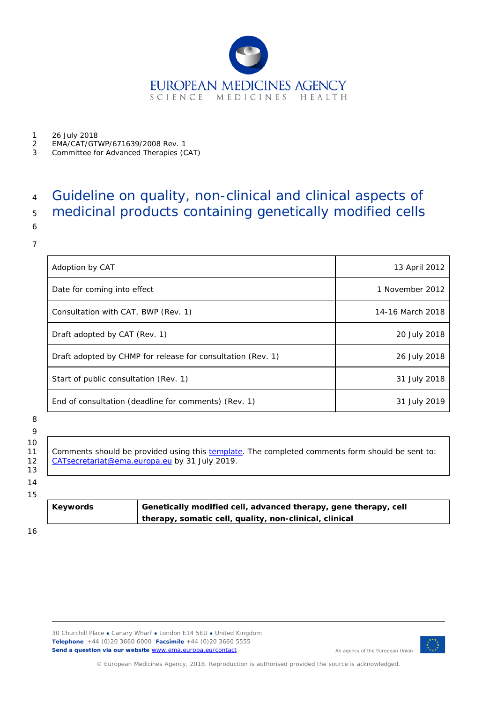

1 26 July 2018<br>2 FMA/CAT/GT

- 2 EMA/CAT/GTWP/671639/2008 Rev. 1<br>3 Committee for Advanced Theranies (
- Committee for Advanced Therapies (CAT)

# 4 Guideline on quality, non-clinical and clinical aspects of

- 5 medicinal products containing genetically modified cells
- 6

7

- Adoption by CAT 13 April 2012 Date for coming into effect **1** November 2012 Consultation with CAT, BWP (Rev. 1) 14-16 March 2018 Draft adopted by CAT (Rev. 1) 20 July 2018 Draft adopted by CHMP for release for consultation (Rev. 1) [26 July 2018 Start of public consultation (Rev. 1) 31 July 2018 End of consultation (deadline for comments) (Rev. 1) 31 July 2019
- 8

9

10

11 Comments should be provided using this [template.](http://www.ema.europa.eu/docs/en_GB/document_library/Template_or_form/2009/10/WC500004016.doc) The completed comments form should be sent to: 12 | [CATsecretariat@ema.europa.eu](mailto:CATsecretariat@ema.europa.eu) by 31 July 2019.

13

14

| v<br>۰. |
|---------|
|         |

| Keywords | Genetically modified cell, advanced therapy, gene therapy, cell |
|----------|-----------------------------------------------------------------|
|          | therapy, somatic cell, quality, non-clinical, clinical          |

16

30 Churchill Place **●** Canary Wharf **●** London E14 5EU **●** United Kingdom **Telephone** +44 (0)20 3660 6000 **Facsimile** +44 (0)20 3660 5555 **Send a question via our website** [www.ema.europa.eu/contact](http://www.ema.europa.eu/contact) 



© European Medicines Agency, 2018. Reproduction is authorised provided the source is acknowledged.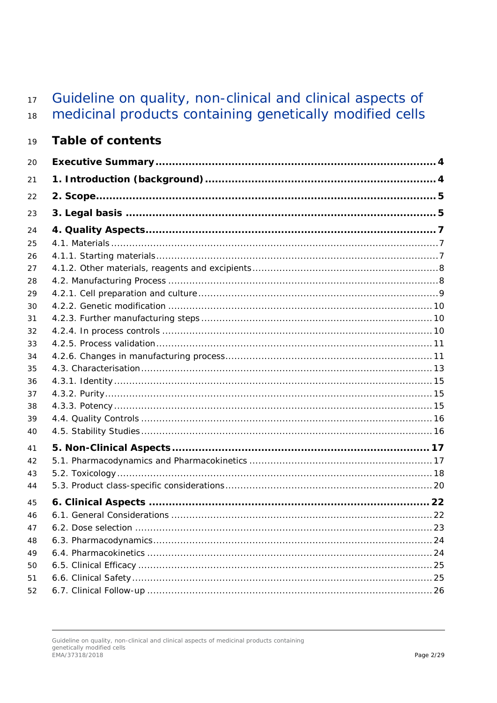#### Guideline on quality, non-clinical and clinical aspects of  $17$ medicinal products containing genetically modified cells 18

#### **Table of contents** 19

| 20 |  |
|----|--|
| 21 |  |
| 22 |  |
| 23 |  |
| 24 |  |
| 25 |  |
| 26 |  |
| 27 |  |
| 28 |  |
| 29 |  |
| 30 |  |
| 31 |  |
| 32 |  |
| 33 |  |
| 34 |  |
| 35 |  |
| 36 |  |
| 37 |  |
| 38 |  |
| 39 |  |
| 40 |  |
| 41 |  |
| 42 |  |
| 43 |  |
| 44 |  |
| 45 |  |
| 46 |  |
| 47 |  |
| 48 |  |
| 49 |  |
| 50 |  |
| 51 |  |
| 52 |  |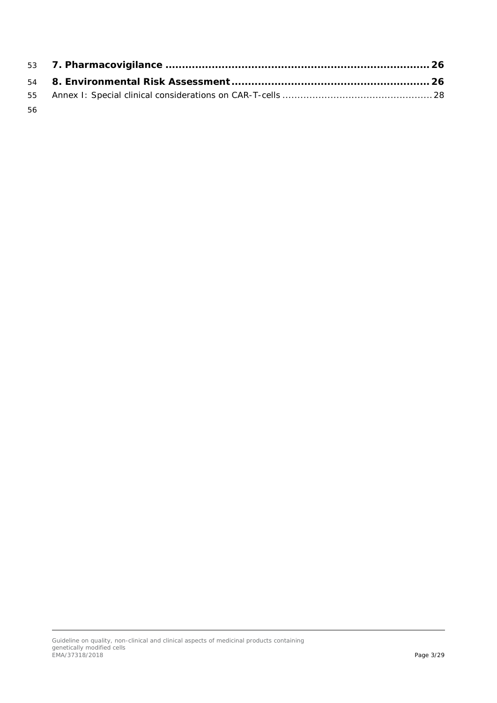56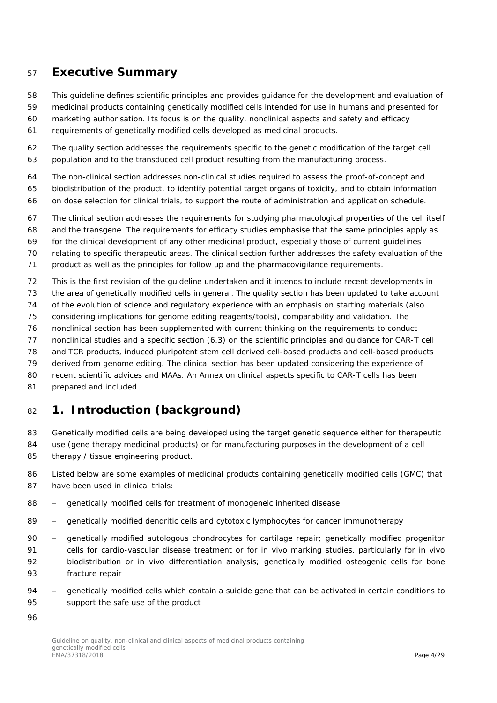### <span id="page-3-0"></span>**Executive Summary**

- This guideline defines scientific principles and provides guidance for the development and evaluation of
- medicinal products containing genetically modified cells intended for use in humans and presented for
- marketing authorisation. Its focus is on the quality, nonclinical aspects and safety and efficacy
- requirements of genetically modified cells developed as medicinal products.
- The quality section addresses the requirements specific to the genetic modification of the target cell population and to the transduced cell product resulting from the manufacturing process.
- The non-clinical section addresses non-clinical studies required to assess the proof-of-concept and
- biodistribution of the product, to identify potential target organs of toxicity, and to obtain information
- on dose selection for clinical trials, to support the route of administration and application schedule.
- The clinical section addresses the requirements for studying pharmacological properties of the cell itself
- and the transgene. The requirements for efficacy studies emphasise that the same principles apply as
- for the clinical development of any other medicinal product, especially those of current guidelines
- relating to specific therapeutic areas. The clinical section further addresses the safety evaluation of the
- product as well as the principles for follow up and the pharmacovigilance requirements.
- This is the first revision of the guideline undertaken and it intends to include recent developments in
- the area of genetically modified cells in general. The quality section has been updated to take account
- of the evolution of science and regulatory experience with an emphasis on starting materials (also
- considering implications for genome editing reagents/tools), comparability and validation. The
- nonclinical section has been supplemented with current thinking on the requirements to conduct
- nonclinical studies and a specific section (6.3) on the scientific principles and guidance for CAR-T cell
- and TCR products, induced pluripotent stem cell derived cell-based products and cell-based products
- derived from genome editing. The clinical section has been updated considering the experience of
- recent scientific advices and MAAs. An Annex on clinical aspects specific to CAR-T cells has been
- prepared and included.

## <span id="page-3-1"></span>**1. Introduction (background)**

- 83 Genetically modified cells are being developed using the target genetic sequence either for therapeutic
- use (gene therapy medicinal products) or for manufacturing purposes in the development of a cell 85 therapy / tissue engineering product.
- Listed below are some examples of medicinal products containing genetically modified cells (GMC) that 87 have been used in clinical trials:
- 88 genetically modified cells for treatment of monogeneic inherited disease
- 89 − genetically modified dendritic cells and cytotoxic lymphocytes for cancer immunotherapy
- 90 genetically modified autologous chondrocytes for cartilage repair; genetically modified progenitor cells for cardio-vascular disease treatment or for *in vivo* marking studies, particularly for *in vivo* biodistribution or *in vivo* differentiation analysis; genetically modified osteogenic cells for bone fracture repair
- 94 genetically modified cells which contain a suicide gene that can be activated in certain conditions to support the safe use of the product
-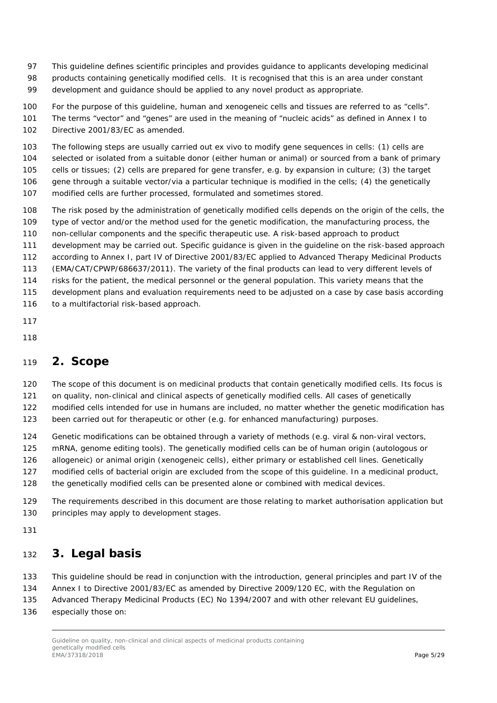- This guideline defines scientific principles and provides guidance to applicants developing medicinal
- 98 products containing genetically modified cells. It is recognised that this is an area under constant
- development and guidance should be applied to any novel product as appropriate.
- For the purpose of this guideline, human and xenogeneic cells and tissues are referred to as "cells". The terms "vector" and "genes" are used in the meaning of "nucleic acids" as defined in Annex I to
- Directive 2001/83/EC as amended.
- The following steps are usually carried out *ex vivo* to modify gene sequences in cells: (1) cells are selected or isolated from a suitable donor (either human or animal) or sourced from a bank of primary cells or tissues; (2) cells are prepared for gene transfer, e.g. by expansion in culture; (3) the target
- gene through a suitable vector/via a particular technique is modified in the cells; (4) the genetically modified cells are further processed, formulated and sometimes stored.
	- The risk posed by the administration of genetically modified cells depends on the origin of the cells, the type of vector and/or the method used for the genetic modification, the manufacturing process, the
	- non-cellular components and the specific therapeutic use. A risk-based approach to product
	- development may be carried out. Specific guidance is given in the guideline on the risk-based approach
	- according to Annex I, part IV of Directive 2001/83/EC applied to Advanced Therapy Medicinal Products
	- (EMA/CAT/CPWP/686637/2011). The variety of the final products can lead to very different levels of
	- risks for the patient, the medical personnel or the general population. This variety means that the
	- development plans and evaluation requirements need to be adjusted on a case by case basis according
	- 116 to a multifactorial risk-based approach.
	-
	-

### <span id="page-4-0"></span>**2. Scope**

- The scope of this document is on medicinal products that contain genetically modified cells. Its focus is
- on quality, non-clinical and clinical aspects of genetically modified cells. All cases of genetically
- modified cells intended for use in humans are included, no matter whether the genetic modification has
- been carried out for therapeutic or other (e.g. for enhanced manufacturing) purposes.
- Genetic modifications can be obtained through a variety of methods (e.g. viral & non-viral vectors,
- mRNA, genome editing tools). The genetically modified cells can be of human origin (autologous or
- allogeneic) or animal origin (xenogeneic cells), either primary or established cell lines. Genetically
- modified cells of bacterial origin are excluded from the scope of this guideline. In a medicinal product,
- the genetically modified cells can be presented alone or combined with medical devices.
- The requirements described in this document are those relating to market authorisation application but 130 principles may apply to development stages.
- 

## <span id="page-4-1"></span>**3. Legal basis**

- This guideline should be read in conjunction with the introduction, general principles and part IV of the
- Annex I to Directive 2001/83/EC as amended by Directive 2009/120 EC, with the Regulation on
- Advanced Therapy Medicinal Products (EC) No 1394/2007 and with other relevant EU guidelines,
- especially those on: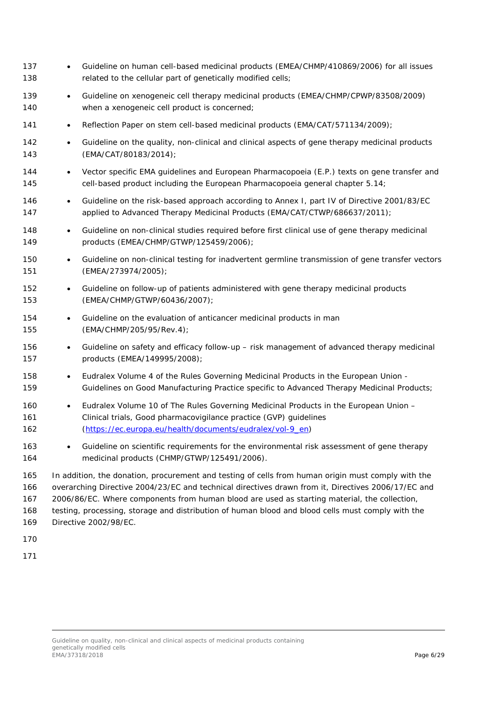- Guideline on human cell-based medicinal products (EMEA/CHMP/410869/2006) for all issues 138 related to the cellular part of genetically modified cells;
- Guideline on xenogeneic cell therapy medicinal products (EMEA/CHMP/CPWP/83508/2009) when a xenogeneic cell product is concerned;
- 141 Reflection Paper on stem cell-based medicinal products (EMA/CAT/571134/2009);
- Guideline on the quality, non-clinical and clinical aspects of gene therapy medicinal products (EMA/CAT/80183/2014);
- Vector specific EMA guidelines and European Pharmacopoeia (E.P.) texts on gene transfer and cell-based product including the European Pharmacopoeia general chapter 5.14;
- Guideline on the risk-based approach according to Annex I, part IV of Directive 2001/83/EC applied to Advanced Therapy Medicinal Products (EMA/CAT/CTWP/686637/2011);
- 148 Guideline on non-clinical studies required before first clinical use of gene therapy medicinal products (EMEA/CHMP/GTWP/125459/2006);
- 150 Guideline on non-clinical testing for inadvertent germline transmission of gene transfer vectors (EMEA/273974/2005);
- Guideline on follow-up of patients administered with gene therapy medicinal products (EMEA/CHMP/GTWP/60436/2007);
- Guideline on the evaluation of anticancer medicinal products in man (EMA/CHMP/205/95/Rev.4);
- Guideline on safety and efficacy follow-up risk management of advanced therapy medicinal products (EMEA/149995/2008);
- Eudralex Volume 4 of the Rules Governing Medicinal Products in the European Union Guidelines on Good Manufacturing Practice specific to Advanced Therapy Medicinal Products;
- Eudralex Volume 10 of The Rules Governing Medicinal Products in the European Union Clinical trials, Good pharmacovigilance practice (GVP) guidelines [\(https://ec.europa.eu/health/documents/eudralex/vol-9\\_en\)](https://ec.europa.eu/health/documents/eudralex/vol-9_en)
- Guideline on scientific requirements for the environmental risk assessment of gene therapy medicinal products (CHMP/GTWP/125491/2006).
- In addition, the donation, procurement and testing of cells from human origin must comply with the overarching Directive 2004/23/EC and technical directives drawn from it, Directives 2006/17/EC and
- 2006/86/EC. Where components from human blood are used as starting material, the collection,
- testing, processing, storage and distribution of human blood and blood cells must comply with the
- Directive 2002/98/EC.
- 
-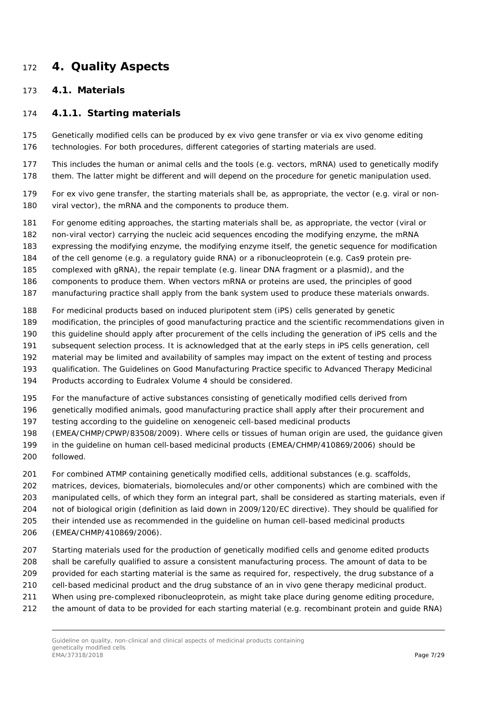### <span id="page-6-0"></span>**4. Quality Aspects**

### <span id="page-6-1"></span>*4.1. Materials*

### <span id="page-6-2"></span>**4.1.1. Starting materials**

 Genetically modified cells can be produced by *ex vivo* gene transfer or via *ex vivo* genome editing 176 technologies. For both procedures, different categories of starting materials are used.

- This includes the human or animal cells and the tools (e.g. vectors, mRNA) used to genetically modify them. The latter might be different and will depend on the procedure for genetic manipulation used.
- For *ex vivo* gene transfer, the starting materials shall be, as appropriate, the vector (e.g. viral or non-viral vector), the mRNA and the components to produce them.
- For genome editing approaches, the starting materials shall be, as appropriate, the vector (viral or
- non-viral vector) carrying the nucleic acid sequences encoding the modifying enzyme, the mRNA
- expressing the modifying enzyme, the modifying enzyme itself, the genetic sequence for modification
- of the cell genome (e.g. a regulatory guide RNA) or a ribonucleoprotein (e.g. Cas9 protein pre-
- complexed with gRNA), the repair template (e.g. linear DNA fragment or a plasmid), and the
- components to produce them. When vectors mRNA or proteins are used, the principles of good
- manufacturing practice shall apply from the bank system used to produce these materials onwards.
- For medicinal products based on induced pluripotent stem (iPS) cells generated by genetic
- modification, the principles of good manufacturing practice and the scientific recommendations given in
- this guideline should apply after procurement of the cells including the generation of iPS cells and the
- subsequent selection process. It is acknowledged that at the early steps in iPS cells generation, cell
- material may be limited and availability of samples may impact on the extent of testing and process
- qualification. The Guidelines on Good Manufacturing Practice specific to Advanced Therapy Medicinal
- Products according to Eudralex Volume 4 should be considered.
- For the manufacture of active substances consisting of genetically modified cells derived from
- genetically modified animals, good manufacturing practice shall apply after their procurement and
- testing according to the guideline on xenogeneic cell-based medicinal products
- (EMEA/CHMP/CPWP/83508/2009). Where cells or tissues of human origin are used, the guidance given
- in the guideline on human cell-based medicinal products (EMEA/CHMP/410869/2006) should be followed.
- For combined ATMP containing genetically modified cells, additional substances (e.g. scaffolds,
- matrices, devices, biomaterials, biomolecules and/or other components) which are combined with the
- manipulated cells, of which they form an integral part, shall be considered as starting materials, even if
- not of biological origin (definition as laid down in 2009/120/EC directive). They should be qualified for
- their intended use as recommended in the guideline on human cell-based medicinal products
- (EMEA/CHMP/410869/2006).
- Starting materials used for the production of genetically modified cells and genome edited products
- shall be carefully qualified to assure a consistent manufacturing process. The amount of data to be
- 209 provided for each starting material is the same as required for, respectively, the drug substance of a
- cell-based medicinal product and the drug substance of an *in vivo* gene therapy medicinal product.
- When using pre-complexed ribonucleoprotein, as might take place during genome editing procedure,
- the amount of data to be provided for each starting material (e.g. recombinant protein and guide RNA)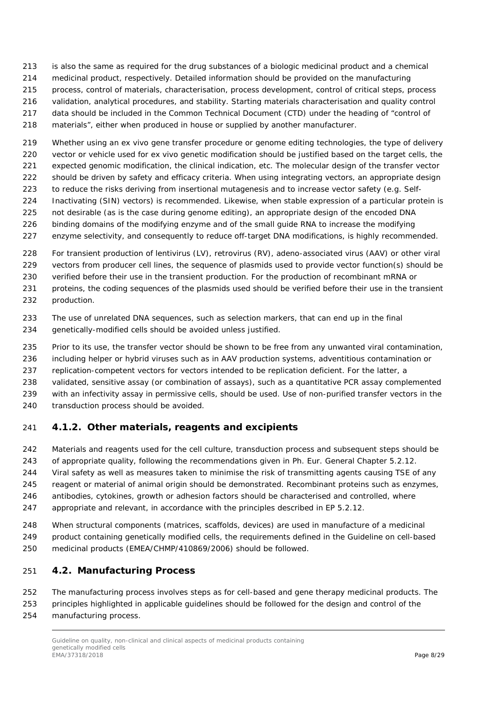- is also the same as required for the drug substances of a biologic medicinal product and a chemical medicinal product, respectively. Detailed information should be provided on the manufacturing process, control of materials, characterisation, process development, control of critical steps, process
- validation, analytical procedures, and stability. Starting materials characterisation and quality control
- 217 data should be included in the Common Technical Document (CTD) under the heading of "control of
- materials", either when produced in house or supplied by another manufacturer.
- Whether using an *ex vivo* gene transfer procedure or genome editing technologies, the type of delivery vector or vehicle used for *ex vivo* genetic modification should be justified based on the target cells, the expected genomic modification, the clinical indication, etc. The molecular design of the transfer vector
- should be driven by safety and efficacy criteria. When using integrating vectors, an appropriate design
- to reduce the risks deriving from insertional mutagenesis and to increase vector safety (e.g. Self-
- Inactivating (SIN) vectors) is recommended. Likewise, when stable expression of a particular protein is
- not desirable (as is the case during genome editing), an appropriate design of the encoded DNA binding domains of the modifying enzyme and of the small guide RNA to increase the modifying
- enzyme selectivity, and consequently to reduce off-target DNA modifications, is highly recommended.
- For transient production of lentivirus (LV), retrovirus (RV), adeno-associated virus (AAV) or other viral 229 vectors from producer cell lines, the sequence of plasmids used to provide vector function(s) should be verified before their use in the transient production. For the production of recombinant mRNA or proteins, the coding sequences of the plasmids used should be verified before their use in the transient
- production.
- The use of unrelated DNA sequences, such as selection markers, that can end up in the final genetically-modified cells should be avoided unless justified.
- 235 Prior to its use, the transfer vector should be shown to be free from any unwanted viral contamination,
- including helper or hybrid viruses such as in AAV production systems, adventitious contamination or
- replication-competent vectors for vectors intended to be replication deficient. For the latter, a
- validated, sensitive assay (or combination of assays), such as a quantitative PCR assay complemented
- with an infectivity assay in permissive cells, should be used. Use of non-purified transfer vectors in the
- 240 transduction process should be avoided.

## <span id="page-7-0"></span>**4.1.2. Other materials, reagents and excipients**

- 242 Materials and reagents used for the cell culture, transduction process and subsequent steps should be
- 243 of appropriate quality, following the recommendations given in Ph. Eur. General Chapter 5.2.12.
- Viral safety as well as measures taken to minimise the risk of transmitting agents causing TSE of any
- reagent or material of animal origin should be demonstrated. Recombinant proteins such as enzymes,
- antibodies, cytokines, growth or adhesion factors should be characterised and controlled, where
- appropriate and relevant, in accordance with the principles described in EP 5.2.12.
- When structural components (matrices, scaffolds, devices) are used in manufacture of a medicinal
- product containing genetically modified cells, the requirements defined in the Guideline on cell-based medicinal products (EMEA/CHMP/410869/2006) should be followed.

## <span id="page-7-1"></span>*4.2. Manufacturing Process*

- The manufacturing process involves steps as for cell-based and gene therapy medicinal products. The
- principles highlighted in applicable guidelines should be followed for the design and control of the manufacturing process.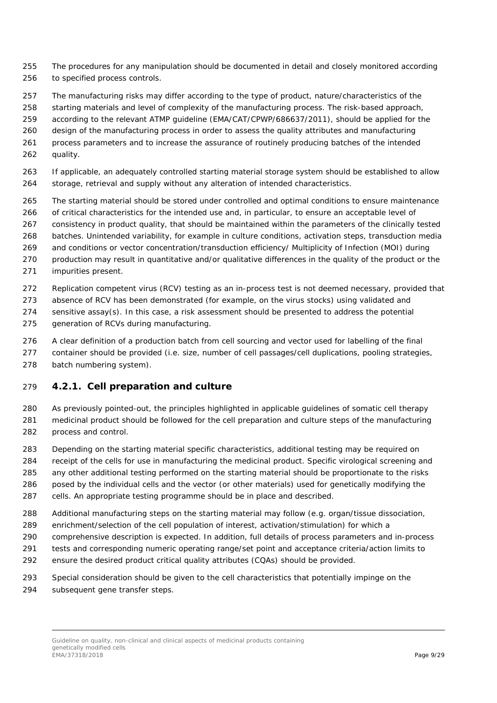- The procedures for any manipulation should be documented in detail and closely monitored according to specified process controls.
- The manufacturing risks may differ according to the type of product, nature/characteristics of the
- starting materials and level of complexity of the manufacturing process. The risk-based approach,
- according to the relevant ATMP guideline (EMA/CAT/CPWP/686637/2011), should be applied for the
- design of the manufacturing process in order to assess the quality attributes and manufacturing
- process parameters and to increase the assurance of routinely producing batches of the intended
- quality.
- If applicable, an adequately controlled starting material storage system should be established to allow storage, retrieval and supply without any alteration of intended characteristics.
- The starting material should be stored under controlled and optimal conditions to ensure maintenance
- 266 of critical characteristics for the intended use and, in particular, to ensure an acceptable level of
- consistency in product quality, that should be maintained within the parameters of the clinically tested batches. Unintended variability, for example in culture conditions, activation steps, transduction media
- and conditions or vector concentration/transduction efficiency/ Multiplicity of Infection (MOI) during
- 
- production may result in quantitative and/or qualitative differences in the quality of the product or the impurities present.
- Replication competent virus (RCV) testing as an in-process test is not deemed necessary, provided that
- absence of RCV has been demonstrated (for example, on the virus stocks) using validated and
- sensitive assay(s). In this case, a risk assessment should be presented to address the potential
- generation of RCVs during manufacturing.
- A clear definition of a production batch from cell sourcing and vector used for labelling of the final
- container should be provided (i.e. size, number of cell passages/cell duplications, pooling strategies,
- batch numbering system).

### <span id="page-8-0"></span>**4.2.1. Cell preparation and culture**

- As previously pointed-out, the principles highlighted in applicable guidelines of somatic cell therapy medicinal product should be followed for the cell preparation and culture steps of the manufacturing process and control.
- Depending on the starting material specific characteristics, additional testing may be required on receipt of the cells for use in manufacturing the medicinal product. Specific virological screening and any other additional testing performed on the starting material should be proportionate to the risks posed by the individual cells and the vector (or other materials) used for genetically modifying the
- cells. An appropriate testing programme should be in place and described.
- Additional manufacturing steps on the starting material may follow (e.g. organ/tissue dissociation,
- enrichment/selection of the cell population of interest, activation/stimulation) for which a
- comprehensive description is expected. In addition, full details of process parameters and in-process
- tests and corresponding numeric operating range/set point and acceptance criteria/action limits to
- ensure the desired product critical quality attributes (CQAs) should be provided.
- Special consideration should be given to the cell characteristics that potentially impinge on the subsequent gene transfer steps.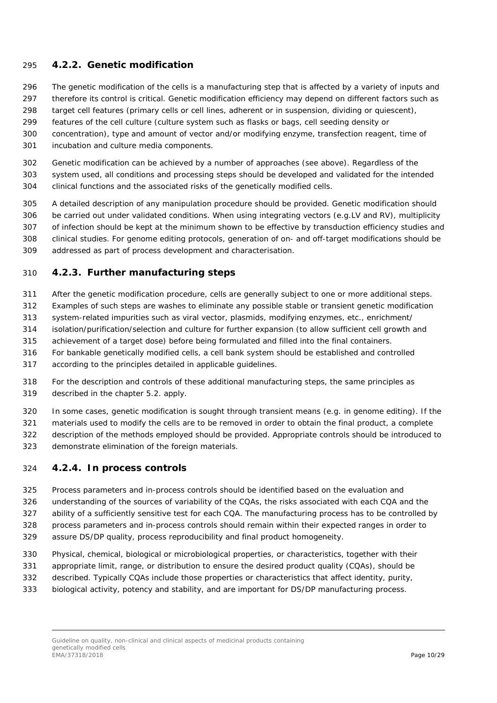### <span id="page-9-0"></span>**4.2.2. Genetic modification**

- The genetic modification of the cells is a manufacturing step that is affected by a variety of inputs and
- therefore its control is critical. Genetic modification efficiency may depend on different factors such as
- target cell features (primary cells or cell lines, adherent or in suspension, dividing or quiescent),
- features of the cell culture (culture system such as flasks or bags, cell seeding density or
- concentration), type and amount of vector and/or modifying enzyme, transfection reagent, time of
- incubation and culture media components.
- Genetic modification can be achieved by a number of approaches (see above). Regardless of the system used, all conditions and processing steps should be developed and validated for the intended clinical functions and the associated risks of the genetically modified cells.
- A detailed description of any manipulation procedure should be provided. Genetic modification should be carried out under validated conditions. When using integrating vectors (e.g*.*LV and RV), multiplicity of infection should be kept at the minimum shown to be effective by transduction efficiency studies and clinical studies. For genome editing protocols, generation of on- and off-target modifications should be addressed as part of process development and characterisation.

### <span id="page-9-1"></span>**4.2.3. Further manufacturing steps**

- After the genetic modification procedure, cells are generally subject to one or more additional steps.
- Examples of such steps are washes to eliminate any possible stable or transient genetic modification
- system-related impurities such as viral vector, plasmids, modifying enzymes, etc., enrichment/
- isolation/purification/selection and culture for further expansion (to allow sufficient cell growth and
- achievement of a target dose) before being formulated and filled into the final containers.
- For bankable genetically modified cells, a cell bank system should be established and controlled
- according to the principles detailed in applicable guidelines.
- For the description and controls of these additional manufacturing steps, the same principles as described in the chapter 5.2. apply.
- In some cases, genetic modification is sought through transient means (e.g. in genome editing). If the
- materials used to modify the cells are to be removed in order to obtain the final product, a complete
- description of the methods employed should be provided. Appropriate controls should be introduced to demonstrate elimination of the foreign materials.

### <span id="page-9-2"></span>**4.2.4. In process controls**

- Process parameters and in-process controls should be identified based on the evaluation and understanding of the sources of variability of the CQAs, the risks associated with each CQA and the ability of a sufficiently sensitive test for each CQA. The manufacturing process has to be controlled by process parameters and in-process controls should remain within their expected ranges in order to
- assure DS/DP quality, process reproducibility and final product homogeneity.
- Physical, chemical, biological or microbiological properties, or characteristics, together with their
- appropriate limit, range, or distribution to ensure the desired product quality (CQAs), should be
- described. Typically CQAs include those properties or characteristics that affect identity, purity,
- biological activity, potency and stability, and are important for DS/DP manufacturing process.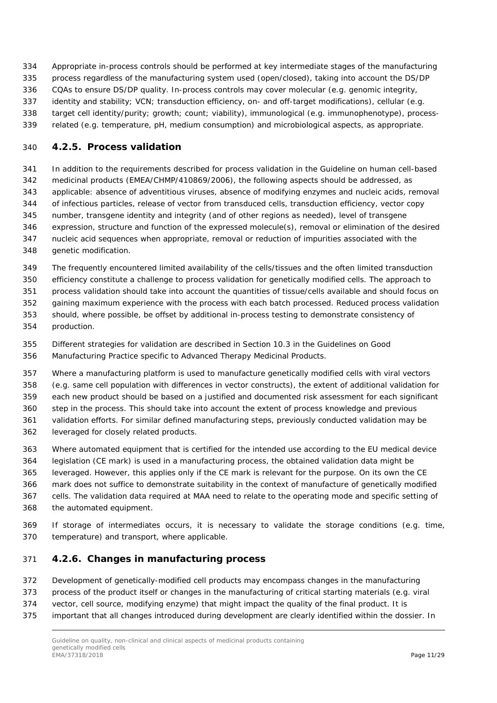- Appropriate in-process controls should be performed at key intermediate stages of the manufacturing
- process regardless of the manufacturing system used (open/closed), taking into account the DS/DP
- CQAs to ensure DS/DP quality. In-process controls may cover molecular (e.g*.* genomic integrity,
- identity and stability; VCN; transduction efficiency, on- and off-target modifications), cellular (e.g*.*
- target cell identity/purity; growth; count; viability), immunological (e.g*.* immunophenotype), process-
- related (e.g*.* temperature, pH, medium consumption) and microbiological aspects, as appropriate.

### <span id="page-10-0"></span>**4.2.5. Process validation**

- In addition to the requirements described for process validation in the Guideline on human cell-based medicinal products (EMEA/CHMP/410869/2006), the following aspects should be addressed, as applicable: absence of adventitious viruses, absence of modifying enzymes and nucleic acids, removal of infectious particles, release of vector from transduced cells, transduction efficiency, vector copy number, transgene identity and integrity (and of other regions as needed), level of transgene expression, structure and function of the expressed molecule(s), removal or elimination of the desired nucleic acid sequences when appropriate, removal or reduction of impurities associated with the
- genetic modification.
- The frequently encountered limited availability of the cells/tissues and the often limited transduction
- efficiency constitute a challenge to process validation for genetically modified cells. The approach to
- process validation should take into account the quantities of tissue/cells available and should focus on gaining maximum experience with the process with each batch processed. Reduced process validation
- should, where possible, be offset by additional in-process testing to demonstrate consistency of
- production.
- Different strategies for validation are described in Section 10.3 in the Guidelines on Good Manufacturing Practice specific to Advanced Therapy Medicinal Products.
- Where a manufacturing platform is used to manufacture genetically modified cells with viral vectors (e.g. same cell population with differences in vector constructs), the extent of additional validation for each new product should be based on a justified and documented risk assessment for each significant step in the process. This should take into account the extent of process knowledge and previous
- validation efforts. For similar defined manufacturing steps, previously conducted validation may be leveraged for closely related products.
- Where automated equipment that is certified for the intended use according to the EU medical device legislation (CE mark) is used in a manufacturing process, the obtained validation data might be leveraged. However, this applies only if the CE mark is relevant for the purpose. On its own the CE mark does not suffice to demonstrate suitability in the context of manufacture of genetically modified cells. The validation data required at MAA need to relate to the operating mode and specific setting of the automated equipment.
- If storage of intermediates occurs, it is necessary to validate the storage conditions (e.g. time, temperature) and transport, where applicable.

### <span id="page-10-1"></span>**4.2.6. Changes in manufacturing process**

- Development of genetically-modified cell products may encompass changes in the manufacturing
- process of the product itself or changes in the manufacturing of critical starting materials (e.g. viral
- vector, cell source, modifying enzyme) that might impact the quality of the final product. It is
- important that all changes introduced during development are clearly identified within the dossier. In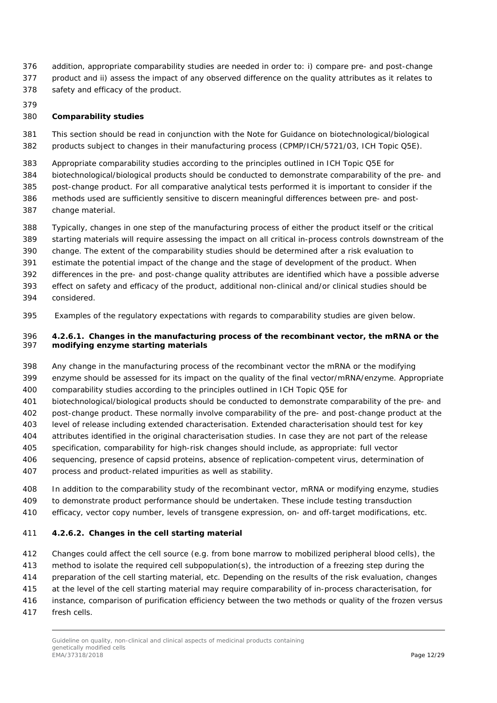- addition, appropriate comparability studies are needed in order to: i) compare pre- and post-change
- product and ii) assess the impact of any observed difference on the quality attributes as it relates to
- safety and efficacy of the product.
- 

#### **Comparability studies**

- This section should be read in conjunction with the Note for Guidance on biotechnological/biological products subject to changes in their manufacturing process (CPMP/ICH/5721/03, ICH Topic Q5E).
- Appropriate comparability studies according to the principles outlined in ICH Topic Q5E for
- biotechnological/biological products should be conducted to demonstrate comparability of the pre- and
- post-change product. For all comparative analytical tests performed it is important to consider if the
- methods used are sufficiently sensitive to discern meaningful differences between pre- and post-
- change material.
- Typically, changes in one step of the manufacturing process of either the product itself or the critical
- starting materials will require assessing the impact on all critical in-process controls downstream of the
- change. The extent of the comparability studies should be determined after a risk evaluation to
- estimate the potential impact of the change and the stage of development of the product. When
- differences in the pre- and post-change quality attributes are identified which have a possible adverse
- effect on safety and efficacy of the product, additional non-clinical and/or clinical studies should be
- considered.
- Examples of the regulatory expectations with regards to comparability studies are given below.

#### *4.2.6.1. Changes in the manufacturing process of the recombinant vector, the mRNA or the modifying enzyme starting materials*

- Any change in the manufacturing process of the recombinant vector the mRNA or the modifying
- enzyme should be assessed for its impact on the quality of the final vector/mRNA/enzyme. Appropriate comparability studies according to the principles outlined in ICH Topic Q5E for
- biotechnological/biological products should be conducted to demonstrate comparability of the pre- and
- post-change product. These normally involve comparability of the pre- and post-change product at the
- level of release including extended characterisation. Extended characterisation should test for key
- attributes identified in the original characterisation studies. In case they are not part of the release
- specification, comparability for high-risk changes should include, as appropriate: full vector
- sequencing, presence of capsid proteins, absence of replication-competent virus, determination of process and product-related impurities as well as stability.
- In addition to the comparability study of the recombinant vector, mRNA or modifying enzyme, studies to demonstrate product performance should be undertaken. These include testing transduction efficacy, vector copy number, levels of transgene expression, on- and off-target modifications, etc.

### *4.2.6.2. Changes in the cell starting material*

- Changes could affect the cell source (e.g. from bone marrow to mobilized peripheral blood cells), the
- method to isolate the required cell subpopulation(s), the introduction of a freezing step during the
- preparation of the cell starting material, etc. Depending on the results of the risk evaluation, changes
- at the level of the cell starting material may require comparability of in-process characterisation, for
- instance, comparison of purification efficiency between the two methods or quality of the frozen versus
- fresh cells.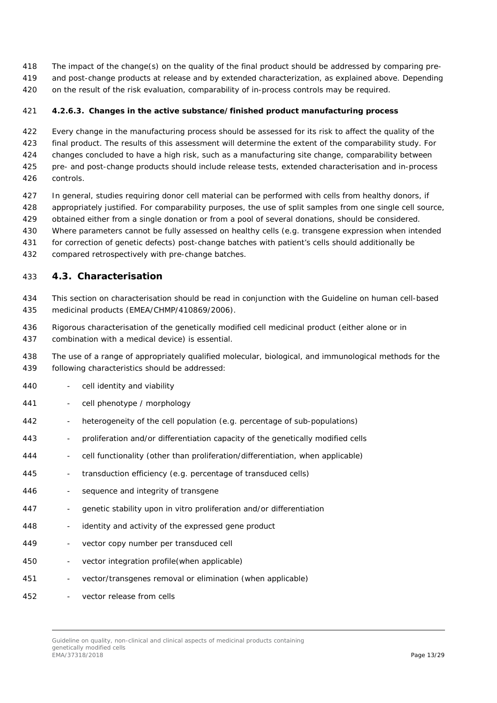- The impact of the change(s) on the quality of the final product should be addressed by comparing pre-
- and post-change products at release and by extended characterization, as explained above. Depending
- 420 on the result of the risk evaluation, comparability of in-process controls may be required.

#### *4.2.6.3. Changes in the active substance/finished product manufacturing process*

 Every change in the manufacturing process should be assessed for its risk to affect the quality of the final product. The results of this assessment will determine the extent of the comparability study. For changes concluded to have a high risk, such as a manufacturing site change, comparability between

- pre- and post-change products should include release tests, extended characterisation and in-process controls.
- In general, studies requiring donor cell material can be performed with cells from healthy donors, if appropriately justified. For comparability purposes, the use of split samples from one single cell source,
- obtained either from a single donation or from a pool of several donations, should be considered.
- Where parameters cannot be fully assessed on healthy cells (e.g. transgene expression when intended
- for correction of genetic defects) post-change batches with patient's cells should additionally be
- compared retrospectively with pre-change batches.

### <span id="page-12-0"></span>*4.3. Characterisation*

- This section on characterisation should be read in conjunction with the Guideline on human cell-based medicinal products (EMEA/CHMP/410869/2006).
- Rigorous characterisation of the genetically modified cell medicinal product (either alone or in combination with a medical device) is essential.
- The use of a range of appropriately qualified molecular, biological, and immunological methods for the following characteristics should be addressed:
- cell identity and viability
- cell phenotype / morphology
- 442 heterogeneity of the cell population (e.g. percentage of sub-populations)
- proliferation and/or differentiation capacity of the genetically modified cells
- 444 cell functionality (other than proliferation/differentiation, when applicable)
- 445 transduction efficiency (e.g. percentage of transduced cells)
- 446 sequence and integrity of transgene
- genetic stability upon *in vitro* proliferation and/or differentiation
- 448 identity and activity of the expressed gene product
- 449 vector copy number per transduced cell
- vector integration profile(when applicable)
- 451 vector/transgenes removal or elimination (when applicable)
- vector release from cells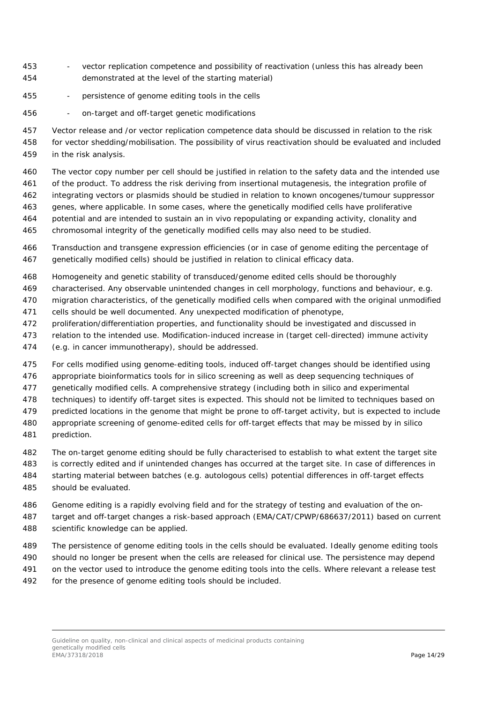- vector replication competence and possibility of reactivation (unless this has already been demonstrated at the level of the starting material)
- persistence of genome editing tools in the cells
- on-target and off-target genetic modifications

 Vector release and /or vector replication competence data should be discussed in relation to the risk for vector shedding/mobilisation. The possibility of virus reactivation should be evaluated and included

in the risk analysis.

The vector copy number per cell should be justified in relation to the safety data and the intended use

- of the product. To address the risk deriving from insertional mutagenesis, the integration profile of integrating vectors or plasmids should be studied in relation to known oncogenes/tumour suppressor genes, where applicable. In some cases, where the genetically modified cells have proliferative potential and are intended to sustain an *in vivo* repopulating or expanding activity, clonality and
- chromosomal integrity of the genetically modified cells may also need to be studied.
- Transduction and transgene expression efficiencies (or in case of genome editing the percentage of genetically modified cells) should be justified in relation to clinical efficacy data.
- Homogeneity and genetic stability of transduced/genome edited cells should be thoroughly
- characterised. Any observable unintended changes in cell morphology, functions and behaviour, e.g.
- migration characteristics, of the genetically modified cells when compared with the original unmodified
- cells should be well documented. Any unexpected modification of phenotype,
- proliferation/differentiation properties, and functionality should be investigated and discussed in
- relation to the intended use. Modification-induced increase in (target cell-directed) immune activity
- (e.g. in cancer immunotherapy), should be addressed.
- For cells modified using genome-editing tools, induced off-target changes should be identified using
- appropriate bioinformatics tools for in silico screening as well as deep sequencing techniques of
- 477 genetically modified cells. A comprehensive strategy (including both in silico and experimental
- 478 techniques) to identify off-target sites is expected. This should not be limited to techniques based on
- predicted locations in the genome that might be prone to off-target activity, but is expected to include appropriate screening of genome-edited cells for off-target effects that may be missed by in silico
- prediction.
- The on-target genome editing should be fully characterised to establish to what extent the target site
- is correctly edited and if unintended changes has occurred at the target site. In case of differences in
- starting material between batches (e.g. autologous cells) potential differences in off-target effects
- should be evaluated.
- Genome editing is a rapidly evolving field and for the strategy of testing and evaluation of the on- target and off-target changes a risk-based approach (EMA/CAT/CPWP/686637/2011) based on current scientific knowledge can be applied.
- The persistence of genome editing tools in the cells should be evaluated. Ideally genome editing tools
- should no longer be present when the cells are released for clinical use. The persistence may depend
- on the vector used to introduce the genome editing tools into the cells. Where relevant a release test
- for the presence of genome editing tools should be included.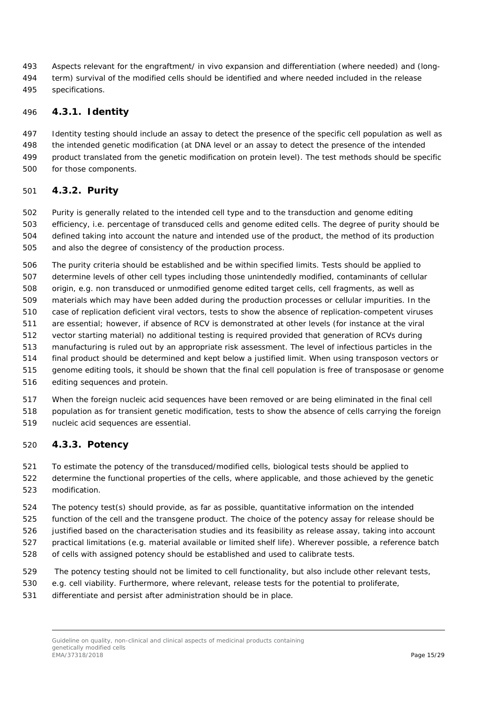Aspects relevant for the engraftment/ in vivo expansion and differentiation (where needed) and (long- term) survival of the modified cells should be identified and where needed included in the release specifications.

### <span id="page-14-0"></span>**4.3.1. Identity**

Identity testing should include an assay to detect the presence of the specific cell population as well as

the intended genetic modification (at DNA level or an assay to detect the presence of the intended

- product translated from the genetic modification on protein level). The test methods should be specific
- for those components.

### <span id="page-14-1"></span>**4.3.2. Purity**

 Purity is generally related to the intended cell type and to the transduction and genome editing efficiency, i.e. percentage of transduced cells and genome edited cells. The degree of purity should be defined taking into account the nature and intended use of the product, the method of its production and also the degree of consistency of the production process.

 The purity criteria should be established and be within specified limits. Tests should be applied to determine levels of other cell types including those unintendedly modified, contaminants of cellular origin, e.g. non transduced or unmodified genome edited target cells, cell fragments, as well as materials which may have been added during the production processes or cellular impurities. In the case of replication deficient viral vectors, tests to show the absence of replication-competent viruses are essential; however, if absence of RCV is demonstrated at other levels (for instance at the viral vector starting material) no additional testing is required provided that generation of RCVs during manufacturing is ruled out by an appropriate risk assessment. The level of infectious particles in the final product should be determined and kept below a justified limit. When using transposon vectors or genome editing tools, it should be shown that the final cell population is free of transposase or genome editing sequences and protein.

When the foreign nucleic acid sequences have been removed or are being eliminated in the final cell

population as for transient genetic modification, tests to show the absence of cells carrying the foreign

nucleic acid sequences are essential.

### <span id="page-14-2"></span>**4.3.3. Potency**

To estimate the potency of the transduced/modified cells, biological tests should be applied to

- determine the functional properties of the cells, where applicable, and those achieved by the genetic modification.
- The potency test(s) should provide, as far as possible, quantitative information on the intended
- function of the cell and the transgene product. The choice of the potency assay for release should be
- justified based on the characterisation studies and its feasibility as release assay, taking into account
- practical limitations (e.g. material available or limited shelf life). Wherever possible, a reference batch
- of cells with assigned potency should be established and used to calibrate tests.
- The potency testing should not be limited to cell functionality, but also include other relevant tests,
- e.g. cell viability. Furthermore, where relevant, release tests for the potential to proliferate,
- differentiate and persist after administration should be in place.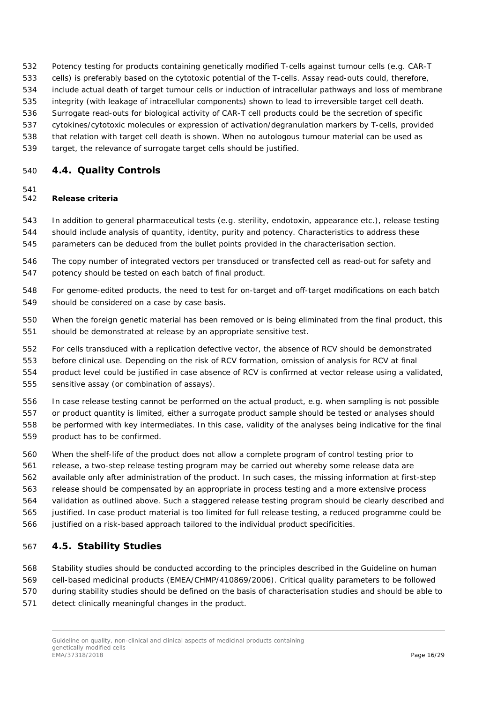- Potency testing for products containing genetically modified T-cells against tumour cells (e.g. CAR-T
- cells) is preferably based on the cytotoxic potential of the T-cells. Assay read-outs could, therefore,
- include actual death of target tumour cells or induction of intracellular pathways and loss of membrane
- integrity (with leakage of intracellular components) shown to lead to irreversible target cell death.
- Surrogate read-outs for biological activity of CAR-T cell products could be the secretion of specific
- cytokines/cytotoxic molecules or expression of activation/degranulation markers by T-cells, provided
- that relation with target cell death is shown. When no autologous tumour material can be used as target, the relevance of surrogate target cells should be justified.
- 

### <span id="page-15-0"></span>*4.4. Quality Controls*

### **Release criteria**

- In addition to general pharmaceutical tests (e.g. sterility, endotoxin, appearance etc.), release testing
- should include analysis of quantity, identity, purity and potency. Characteristics to address these
- parameters can be deduced from the bullet points provided in the characterisation section.
- The copy number of integrated vectors per transduced or transfected cell as read-out for safety and potency should be tested on each batch of final product.
- For genome-edited products, the need to test for on-target and off-target modifications on each batch should be considered on a case by case basis.
- When the foreign genetic material has been removed or is being eliminated from the final product, this should be demonstrated at release by an appropriate sensitive test.
- For cells transduced with a replication defective vector, the absence of RCV should be demonstrated
- before clinical use. Depending on the risk of RCV formation, omission of analysis for RCV at final
- product level could be justified in case absence of RCV is confirmed at vector release using a validated,
- sensitive assay (or combination of assays).
- In case release testing cannot be performed on the actual product, e.g. when sampling is not possible
- or product quantity is limited, either a surrogate product sample should be tested or analyses should
- be performed with key intermediates. In this case, validity of the analyses being indicative for the final product has to be confirmed.
- When the shelf-life of the product does not allow a complete program of control testing prior to
- release, a two-step release testing program may be carried out whereby some release data are
- available only after administration of the product. In such cases, the missing information at first-step
- release should be compensated by an appropriate in process testing and a more extensive process
- validation as outlined above. Such a staggered release testing program should be clearly described and
- justified. In case product material is too limited for full release testing, a reduced programme could be
- justified on a risk-based approach tailored to the individual product specificities.

### <span id="page-15-1"></span>*4.5. Stability Studies*

- Stability studies should be conducted according to the principles described in the Guideline on human
- cell-based medicinal products (EMEA/CHMP/410869/2006). Critical quality parameters to be followed during stability studies should be defined on the basis of characterisation studies and should be able to
- detect clinically meaningful changes in the product.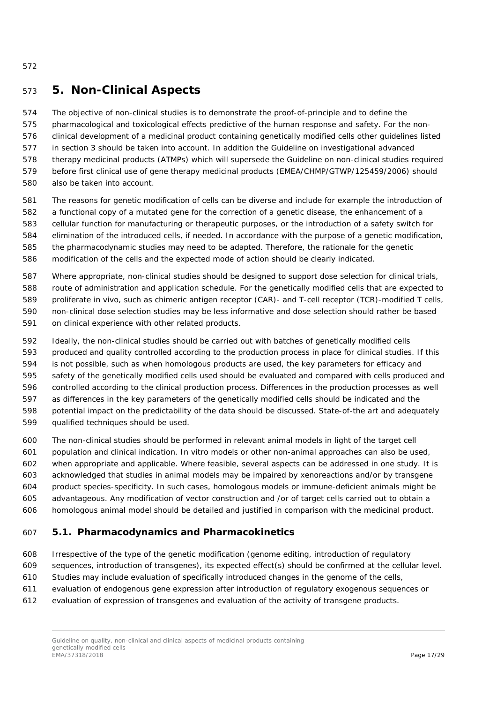## <span id="page-16-0"></span>**5. Non-Clinical Aspects**

 The objective of non-clinical studies is to demonstrate the proof-of-principle and to define the pharmacological and toxicological effects predictive of the human response and safety. For the non- clinical development of a medicinal product containing genetically modified cells other guidelines listed in section 3 should be taken into account. In addition the Guideline on investigational advanced therapy medicinal products (ATMPs) which will supersede the Guideline on non-clinical studies required before first clinical use of gene therapy medicinal products (EMEA/CHMP/GTWP/125459/2006) should also be taken into account.

 The reasons for genetic modification of cells can be diverse and include for example the introduction of a functional copy of a mutated gene for the correction of a genetic disease, the enhancement of a cellular function for manufacturing or therapeutic purposes, or the introduction of a safety switch for elimination of the introduced cells, if needed. In accordance with the purpose of a genetic modification, the pharmacodynamic studies may need to be adapted. Therefore, the rationale for the genetic modification of the cells and the expected mode of action should be clearly indicated.

 Where appropriate, non-clinical studies should be designed to support dose selection for clinical trials, route of administration and application schedule. For the genetically modified cells that are expected to proliferate in vivo, such as chimeric antigen receptor (CAR)- and T-cell receptor (TCR)-modified T cells, non-clinical dose selection studies may be less informative and dose selection should rather be based

on clinical experience with other related products.

Ideally, the non-clinical studies should be carried out with batches of genetically modified cells

produced and quality controlled according to the production process in place for clinical studies. If this

is not possible, such as when homologous products are used, the key parameters for efficacy and

safety of the genetically modified cells used should be evaluated and compared with cells produced and

 controlled according to the clinical production process. Differences in the production processes as well as differences in the key parameters of the genetically modified cells should be indicated and the

 potential impact on the predictability of the data should be discussed. State-of-the art and adequately qualified techniques should be used.

 The non-clinical studies should be performed in relevant animal models in light of the target cell population and clinical indication. *In vitro* models or other non-animal approaches can also be used, when appropriate and applicable. Where feasible, several aspects can be addressed in one study. It is acknowledged that studies in animal models may be impaired by xenoreactions and/or by transgene product species-specificity. In such cases, homologous models or immune-deficient animals might be advantageous. Any modification of vector construction and /or of target cells carried out to obtain a

homologous animal model should be detailed and justified in comparison with the medicinal product.

### <span id="page-16-1"></span>*5.1. Pharmacodynamics and Pharmacokinetics*

Irrespective of the type of the genetic modification (genome editing, introduction of regulatory

sequences, introduction of transgenes), its expected effect(s) should be confirmed at the cellular level.

- Studies may include evaluation of specifically introduced changes in the genome of the cells, evaluation of endogenous gene expression after introduction of regulatory exogenous sequences or
- 
- evaluation of expression of transgenes and evaluation of the activity of transgene products.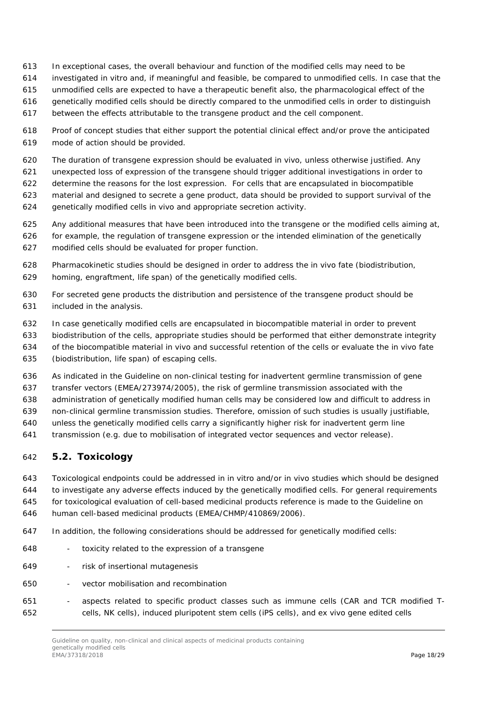- In exceptional cases, the overall behaviour and function of the modified cells may need to be
- investigated *in vitro* and, if meaningful and feasible, be compared to unmodified cells. In case that the
- unmodified cells are expected to have a therapeutic benefit also, the pharmacological effect of the
- genetically modified cells should be directly compared to the unmodified cells in order to distinguish
- between the effects attributable to the transgene product and the cell component.
- Proof of concept studies that either support the potential clinical effect and/or prove the anticipated mode of action should be provided.
- The duration of transgene expression should be evaluated *in vivo*, unless otherwise justified. Any
- unexpected loss of expression of the transgene should trigger additional investigations in order to
- determine the reasons for the lost expression. For cells that are encapsulated in biocompatible
- material and designed to secrete a gene product, data should be provided to support survival of the
- genetically modified cells *in vivo* and appropriate secretion activity.
- Any additional measures that have been introduced into the transgene or the modified cells aiming at, for example, the regulation of transgene expression or the intended elimination of the genetically
- modified cells should be evaluated for proper function.
- Pharmacokinetic studies should be designed in order to address the *in vivo* fate (biodistribution, homing, engraftment, life span) of the genetically modified cells.
- For secreted gene products the distribution and persistence of the transgene product should be included in the analysis.
- In case genetically modified cells are encapsulated in biocompatible material in order to prevent
- biodistribution of the cells, appropriate studies should be performed that either demonstrate integrity
- of the biocompatible material *in vivo* and successful retention of the cells or evaluate the *in vivo* fate
- (biodistribution, life span) of escaping cells.
- As indicated in the Guideline on non-clinical testing for inadvertent germline transmission of gene
- transfer vectors (EMEA/273974/2005), the risk of germline transmission associated with the
- administration of genetically modified human cells may be considered low and difficult to address in
- non-clinical germline transmission studies. Therefore, omission of such studies is usually justifiable,
- unless the genetically modified cells carry a significantly higher risk for inadvertent germ line
- transmission (e.g. due to mobilisation of integrated vector sequences and vector release).

### <span id="page-17-0"></span>*5.2. Toxicology*

- Toxicological endpoints could be addressed in *in vitro* and/or *in vivo* studies which should be designed to investigate any adverse effects induced by the genetically modified cells. For general requirements for toxicological evaluation of cell-based medicinal products reference is made to the Guideline on
- human cell-based medicinal products (EMEA/CHMP/410869/2006).
- In addition, the following considerations should be addressed for genetically modified cells:
- 648 toxicity related to the expression of a transgene
- risk of insertional mutagenesis
- vector mobilisation and recombination
- 651 aspects related to specific product classes such as immune cells (CAR and TCR modified T-cells, NK cells), induced pluripotent stem cells (iPS cells), and *ex vivo* gene edited cells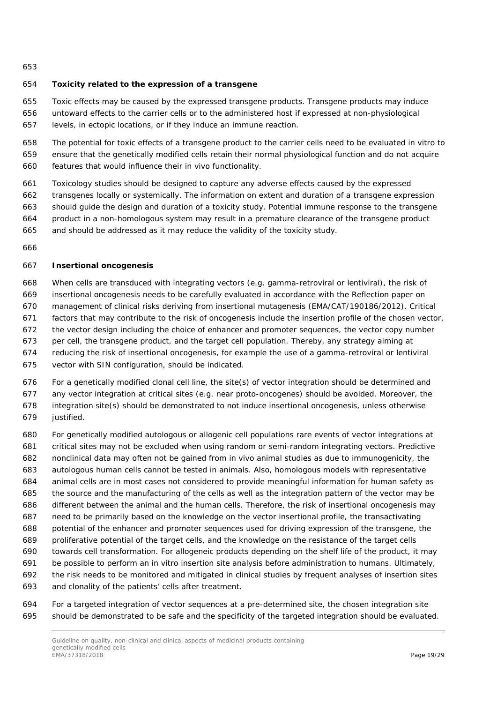#### **Toxicity related to the expression of a transgene**

 Toxic effects may be caused by the expressed transgene products. Transgene products may induce untoward effects to the carrier cells or to the administered host if expressed at non-physiological levels, in ectopic locations, or if they induce an immune reaction.

 The potential for toxic effects of a transgene product to the carrier cells need to be evaluated *in vitro* to ensure that the genetically modified cells retain their normal physiological function and do not acquire features that would influence their *in vivo* functionality.

- Toxicology studies should be designed to capture any adverse effects caused by the expressed
- transgenes locally or systemically. The information on extent and duration of a transgene expression
- should guide the design and duration of a toxicity study. Potential immune response to the transgene product in a non-homologous system may result in a premature clearance of the transgene product
- and should be addressed as it may reduce the validity of the toxicity study.
- 

#### **Insertional oncogenesis**

 When cells are transduced with integrating vectors (e.g. gamma-retroviral or lentiviral), the risk of insertional oncogenesis needs to be carefully evaluated in accordance with the Reflection paper on

- management of clinical risks deriving from insertional mutagenesis (EMA/CAT/190186/2012). Critical
- factors that may contribute to the risk of oncogenesis include the insertion profile of the chosen vector,
- the vector design including the choice of enhancer and promoter sequences, the vector copy number
- per cell, the transgene product, and the target cell population. Thereby, any strategy aiming at reducing the risk of insertional oncogenesis, for example the use of a gamma-retroviral or lentiviral
- 
- vector with SIN configuration, should be indicated.

 For a genetically modified clonal cell line, the site(s) of vector integration should be determined and any vector integration at critical sites (e.g. near proto-oncogenes) should be avoided. Moreover, the integration site(s) should be demonstrated to not induce insertional oncogenesis, unless otherwise

679 iustified.

 For genetically modified autologous or allogenic cell populations rare events of vector integrations at critical sites may not be excluded when using random or semi-random integrating vectors. Predictive nonclinical data may often not be gained from *in vivo* animal studies as due to immunogenicity, the autologous human cells cannot be tested in animals. Also, homologous models with representative animal cells are in most cases not considered to provide meaningful information for human safety as the source and the manufacturing of the cells as well as the integration pattern of the vector may be different between the animal and the human cells. Therefore, the risk of insertional oncogenesis may need to be primarily based on the knowledge on the vector insertional profile, the transactivating potential of the enhancer and promoter sequences used for driving expression of the transgene, the proliferative potential of the target cells, and the knowledge on the resistance of the target cells towards cell transformation. For allogeneic products depending on the shelf life of the product, it may be possible to perform an *in vitro* insertion site analysis before administration to humans. Ultimately, the risk needs to be monitored and mitigated in clinical studies by frequent analyses of insertion sites and clonality of the patients' cells after treatment.

 For a targeted integration of vector sequences at a pre-determined site, the chosen integration site should be demonstrated to be safe and the specificity of the targeted integration should be evaluated.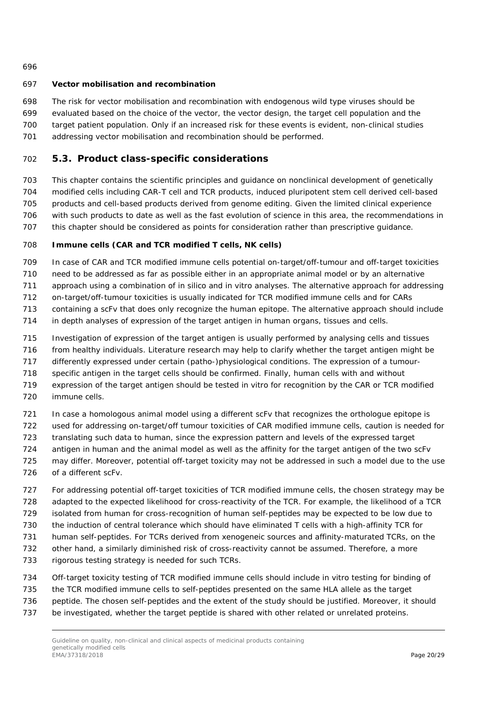### **Vector mobilisation and recombination**

 The risk for vector mobilisation and recombination with endogenous wild type viruses should be evaluated based on the choice of the vector, the vector design, the target cell population and the target patient population. Only if an increased risk for these events is evident, non-clinical studies addressing vector mobilisation and recombination should be performed.

### <span id="page-19-0"></span>*5.3. Product class-specific considerations*

 This chapter contains the scientific principles and guidance on nonclinical development of genetically modified cells including CAR-T cell and TCR products, induced pluripotent stem cell derived cell-based products and cell-based products derived from genome editing. Given the limited clinical experience with such products to date as well as the fast evolution of science in this area, the recommendations in this chapter should be considered as points for consideration rather than prescriptive guidance.

#### **Immune cells (CAR and TCR modified T cells, NK cells)**

In case of CAR and TCR modified immune cells potential on-target/off-tumour and off-target toxicities

need to be addressed as far as possible either in an appropriate animal model or by an alternative

approach using a combination of *in silico* and *in vitro* analyses. The alternative approach for addressing

on-target/off-tumour toxicities is usually indicated for TCR modified immune cells and for CARs

containing a scFv that does only recognize the human epitope. The alternative approach should include

in depth analyses of expression of the target antigen in human organs, tissues and cells.

Investigation of expression of the target antigen is usually performed by analysing cells and tissues

from healthy individuals. Literature research may help to clarify whether the target antigen might be

differently expressed under certain (patho-)physiological conditions. The expression of a tumour-

specific antigen in the target cells should be confirmed. Finally, human cells with and without

 expression of the target antigen should be tested *in vitro* for recognition by the CAR or TCR modified immune cells.

721 In case a homologous animal model using a different scFv that recognizes the orthologue epitope is

 used for addressing on-target/off tumour toxicities of CAR modified immune cells, caution is needed for translating such data to human, since the expression pattern and levels of the expressed target

antigen in human and the animal model as well as the affinity for the target antigen of the two scFv

- may differ. Moreover, potential off-target toxicity may not be addressed in such a model due to the use
- of a different scFv.

For addressing potential off-target toxicities of TCR modified immune cells, the chosen strategy may be

adapted to the expected likelihood for cross-reactivity of the TCR. For example, the likelihood of a TCR

isolated from human for cross-recognition of human self-peptides may be expected to be low due to

the induction of central tolerance which should have eliminated T cells with a high-affinity TCR for

human self-peptides. For TCRs derived from xenogeneic sources and affinity-maturated TCRs, on the

- other hand, a similarly diminished risk of cross-reactivity cannot be assumed. Therefore, a more
- rigorous testing strategy is needed for such TCRs.
- Off-target toxicity testing of TCR modified immune cells should include *in vitro* testing for binding of

the TCR modified immune cells to self-peptides presented on the same HLA allele as the target

- peptide. The chosen self-peptides and the extent of the study should be justified. Moreover, it should
- 737 be investigated, whether the target peptide is shared with other related or unrelated proteins.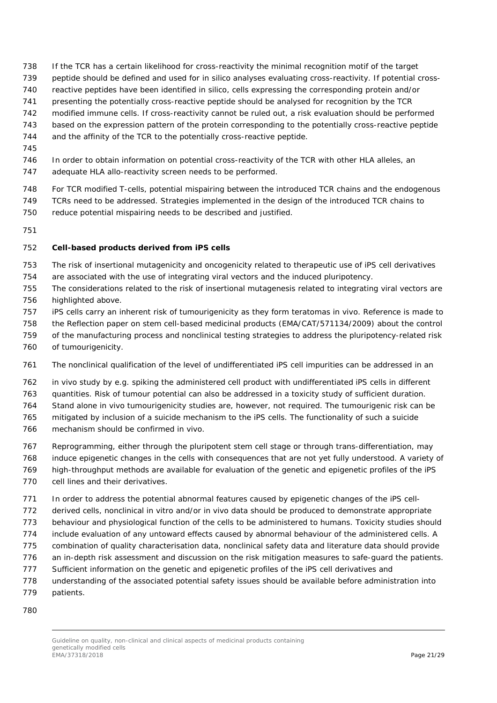- If the TCR has a certain likelihood for cross-reactivity the minimal recognition motif of the target
- peptide should be defined and used for *in silico* analyses evaluating cross-reactivity. If potential cross-
- reactive peptides have been identified *in silico*, cells expressing the corresponding protein and/or
- presenting the potentially cross-reactive peptide should be analysed for recognition by the TCR
- modified immune cells. If cross-reactivity cannot be ruled out, a risk evaluation should be performed
- based on the expression pattern of the protein corresponding to the potentially cross-reactive peptide
- and the affinity of the TCR to the potentially cross-reactive peptide.
- 
- In order to obtain information on potential cross-reactivity of the TCR with other HLA alleles, an adequate HLA allo-reactivity screen needs to be performed.
- For TCR modified T-cells, potential mispairing between the introduced TCR chains and the endogenous
- TCRs need to be addressed. Strategies implemented in the design of the introduced TCR chains to reduce potential mispairing needs to be described and justified.
- 

#### **Cell-based products derived from iPS cells**

- The risk of insertional mutagenicity and oncogenicity related to therapeutic use of iPS cell derivatives are associated with the use of integrating viral vectors and the induced pluripotency.
- The considerations related to the risk of insertional mutagenesis related to integrating viral vectors are highlighted above.
- iPS cells carry an inherent risk of tumourigenicity as they form teratomas *in vivo*. Reference is made to
- the Reflection paper on stem cell-based medicinal products (EMA/CAT/571134/2009) about the control
- of the manufacturing process and nonclinical testing strategies to address the pluripotency-related risk of tumourigenicity.
- The nonclinical qualification of the level of undifferentiated iPS cell impurities can be addressed in an
- *in vivo* study by e.g. spiking the administered cell product with undifferentiated iPS cells in different
- quantities. Risk of tumour potential can also be addressed in a toxicity study of sufficient duration.
- Stand alone *in vivo* tumourigenicity studies are, however, not required. The tumourigenic risk can be
- mitigated by inclusion of a suicide mechanism to the iPS cells. The functionality of such a suicide
- mechanism should be confirmed *in vivo*.
- Reprogramming, either through the pluripotent stem cell stage or through trans-differentiation, may
- induce epigenetic changes in the cells with consequences that are not yet fully understood. A variety of high-throughput methods are available for evaluation of the genetic and epigenetic profiles of the iPS
- cell lines and their derivatives.
- In order to address the potential abnormal features caused by epigenetic changes of the iPS cell-
- derived cells, nonclinical *in vitro* and/or *in vivo* data should be produced to demonstrate appropriate
- behaviour and physiological function of the cells to be administered to humans. Toxicity studies should
- include evaluation of any untoward effects caused by abnormal behaviour of the administered cells. A
- combination of quality characterisation data, nonclinical safety data and literature data should provide
- an in-depth risk assessment and discussion on the risk mitigation measures to safe-guard the patients.
- Sufficient information on the genetic and epigenetic profiles of the iPS cell derivatives and
- understanding of the associated potential safety issues should be available before administration into patients.
-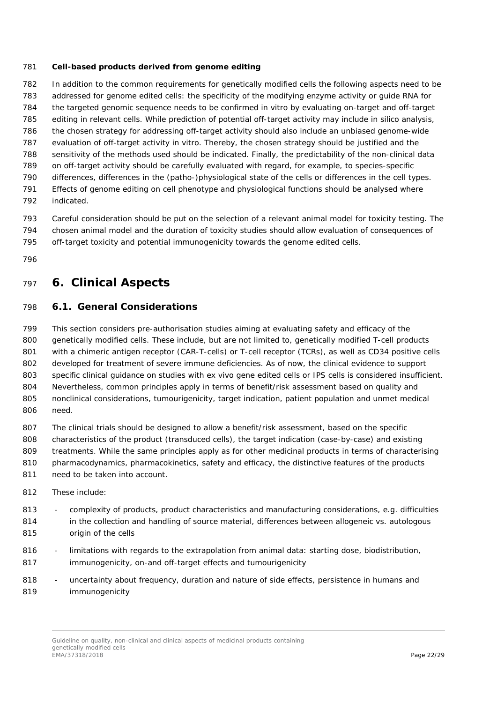#### **Cell-based products derived from genome editing**

 In addition to the common requirements for genetically modified cells the following aspects need to be addressed for genome edited cells: the specificity of the modifying enzyme activity or guide RNA for the targeted genomic sequence needs to be confirmed *in vitro* by evaluating on-target and off-target editing in relevant cells. While prediction of potential off-target activity may include *in silico* analysis, the chosen strategy for addressing off-target activity should also include an unbiased genome-wide evaluation of off-target activity *in vitro*. Thereby, the chosen strategy should be justified and the sensitivity of the methods used should be indicated. Finally, the predictability of the non-clinical data on off-target activity should be carefully evaluated with regard, for example, to species-specific differences, differences in the (patho-)physiological state of the cells or differences in the cell types. Effects of genome editing on cell phenotype and physiological functions should be analysed where indicated.

Careful consideration should be put on the selection of a relevant animal model for toxicity testing. The

- chosen animal model and the duration of toxicity studies should allow evaluation of consequences of
- off-target toxicity and potential immunogenicity towards the genome edited cells.
- 

## <span id="page-21-0"></span>**6. Clinical Aspects**

### <span id="page-21-1"></span>*6.1. General Considerations*

 This section considers pre-authorisation studies aiming at evaluating safety and efficacy of the genetically modified cells. These include, but are not limited to, genetically modified T-cell products 801 with a chimeric antigen receptor (CAR-T-cells) or T-cell receptor (TCRs), as well as CD34 positive cells developed for treatment of severe immune deficiencies. As of now, the clinical evidence to support specific clinical guidance on studies with *ex vivo* gene edited cells or IPS cells is considered insufficient. Nevertheless, common principles apply in terms of benefit/risk assessment based on quality and nonclinical considerations, tumourigenicity, target indication, patient population and unmet medical need.

 The clinical trials should be designed to allow a benefit/risk assessment, based on the specific characteristics of the product (transduced cells), the target indication (case-by-case) and existing treatments. While the same principles apply as for other medicinal products in terms of characterising 810 pharmacodynamics, pharmacokinetics, safety and efficacy, the distinctive features of the products 811 need to be taken into account.

- These include:
- 813 complexity of products, product characteristics and manufacturing considerations, e.g. difficulties in the collection and handling of source material, differences between allogeneic vs. autologous origin of the cells
- 816 limitations with regards to the extrapolation from animal data: starting dose, biodistribution, immunogenicity, on-and off-target effects and tumourigenicity

818 - uncertainty about frequency, duration and nature of side effects, persistence in humans and immunogenicity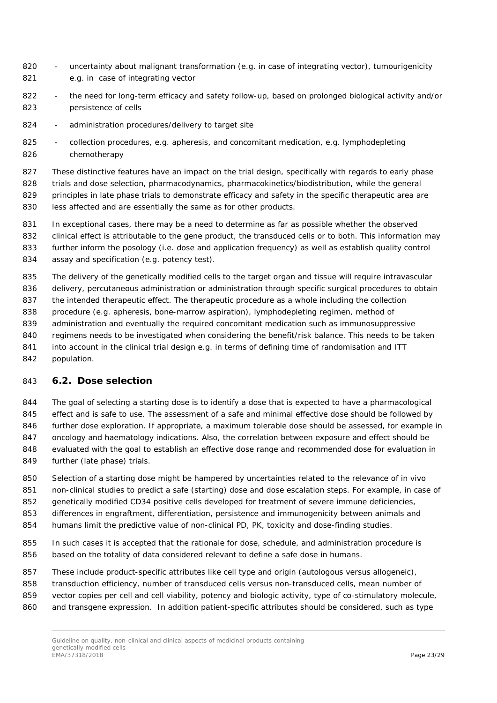- 820 uncertainty about malignant transformation (e.g. in case of integrating vector), tumourigenicity e.g. in case of integrating vector
- 822 the need for long-term efficacy and safety follow-up, based on prolonged biological activity and/or persistence of cells
- 824 administration procedures/delivery to target site
- 825 collection procedures, e.g. apheresis, and concomitant medication, e.g. lymphodepleting chemotherapy
- 827 These distinctive features have an impact on the trial design, specifically with regards to early phase trials and dose selection, pharmacodynamics, pharmacokinetics/biodistribution, while the general principles in late phase trials to demonstrate efficacy and safety in the specific therapeutic area are 830 less affected and are essentially the same as for other products.
- In exceptional cases, there may be a need to determine as far as possible whether the observed 832 clinical effect is attributable to the gene product, the transduced cells or to both. This information may further inform the posology (i.e. dose and application frequency) as well as establish quality control
- 834 assay and specification (e.g. potency test).
- The delivery of the genetically modified cells to the target organ and tissue will require intravascular
- 836 delivery, percutaneous administration or administration through specific surgical procedures to obtain
- the intended therapeutic effect. The therapeutic procedure as a whole including the collection
- procedure (e.g. apheresis, bone-marrow aspiration), lymphodepleting regimen, method of administration and eventually the required concomitant medication such as immunosuppressive
- regimens needs to be investigated when considering the benefit/risk balance. This needs to be taken
- into account in the clinical trial design e.g. in terms of defining time of randomisation and ITT
- population.

### <span id="page-22-0"></span>*6.2. Dose selection*

844 The goal of selecting a starting dose is to identify a dose that is expected to have a pharmacological 845 effect and is safe to use. The assessment of a safe and minimal effective dose should be followed by further dose exploration. If appropriate, a maximum tolerable dose should be assessed, for example in oncology and haematology indications. Also, the correlation between exposure and effect should be evaluated with the goal to establish an effective dose range and recommended dose for evaluation in further (late phase) trials.

- Selection of a starting dose might be hampered by uncertainties related to the relevance of *in vivo* non-clinical studies to predict a safe (starting) dose and dose escalation steps. For example, in case of genetically modified CD34 positive cells developed for treatment of severe immune deficiencies, differences in engraftment, differentiation, persistence and immunogenicity between animals and
- humans limit the predictive value of non-clinical PD, PK, toxicity and dose-finding studies.
- In such cases it is accepted that the rationale for dose, schedule, and administration procedure is based on the totality of data considered relevant to define a safe dose in humans.
- 857 These include product-specific attributes like cell type and origin (autologous versus allogeneic),
- transduction efficiency, number of transduced cells versus non-transduced cells, mean number of
- vector copies per cell and cell viability, potency and biologic activity, type of co-stimulatory molecule,
- 860 and transgene expression. In addition patient-specific attributes should be considered, such as type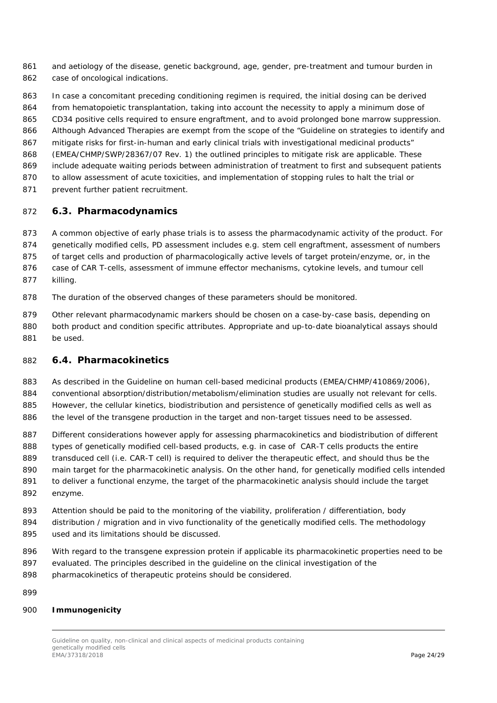- and aetiology of the disease, genetic background, age, gender, pre-treatment and tumour burden in 862 case of oncological indications.
- In case a concomitant preceding conditioning regimen is required, the initial dosing can be derived from hematopoietic transplantation, taking into account the necessity to apply a minimum dose of CD34 positive cells required to ensure engraftment, and to avoid prolonged bone marrow suppression. Although Advanced Therapies are exempt from the scope of the "Guideline on strategies to identify and
- 867 mitigate risks for first-in-human and early clinical trials with investigational medicinal products"
- (EMEA/CHMP/SWP/28367/07 Rev. 1) the outlined principles to mitigate risk are applicable. These
- include adequate waiting periods between administration of treatment to first and subsequent patients
- 870 to allow assessment of acute toxicities, and implementation of stopping rules to halt the trial or
- 871 prevent further patient recruitment.

### <span id="page-23-0"></span>*6.3. Pharmacodynamics*

- 873 A common objective of early phase trials is to assess the pharmacodynamic activity of the product. For
- 874 genetically modified cells, PD assessment includes e.g. stem cell engraftment, assessment of numbers
- 875 of target cells and production of pharmacologically active levels of target protein/enzyme, or, in the
- case of CAR T-cells, assessment of immune effector mechanisms, cytokine levels, and tumour cell
- killing.
- The duration of the observed changes of these parameters should be monitored.
- 879 Other relevant pharmacodynamic markers should be chosen on a case-by-case basis, depending on 880 both product and condition specific attributes. Appropriate and up-to-date bioanalytical assays should be used.

### <span id="page-23-1"></span>*6.4. Pharmacokinetics*

- 883 As described in the Guideline on human cell-based medicinal products (EMEA/CHMP/410869/2006), conventional absorption/distribution/metabolism/elimination studies are usually not relevant for cells. However, the cellular kinetics, biodistribution and persistence of genetically modified cells as well as the level of the transgene production in the target and non-target tissues need to be assessed.
- 887 Different considerations however apply for assessing pharmacokinetics and biodistribution of different types of genetically modified cell-based products, e.g. in case of CAR-T cells products the entire 889 transduced cell (i.e. CAR-T cell) is required to deliver the therapeutic effect, and should thus be the main target for the pharmacokinetic analysis. On the other hand, for genetically modified cells intended to deliver a functional enzyme, the target of the pharmacokinetic analysis should include the target enzyme.
- Attention should be paid to the monitoring of the viability, proliferation / differentiation, body
- distribution / migration and *in vivo* functionality of the genetically modified cells. The methodology used and its limitations should be discussed.
- With regard to the transgene expression protein if applicable its pharmacokinetic properties need to be
- evaluated. The principles described in the guideline on the clinical investigation of the
- pharmacokinetics of therapeutic proteins should be considered.
- 

### **Immunogenicity**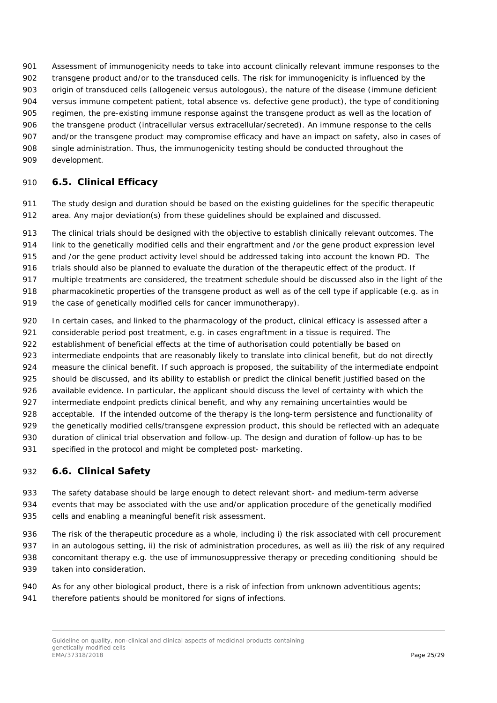Assessment of immunogenicity needs to take into account clinically relevant immune responses to the transgene product and/or to the transduced cells. The risk for immunogenicity is influenced by the origin of transduced cells (allogeneic versus autologous), the nature of the disease (immune deficient versus immune competent patient, total absence vs. defective gene product), the type of conditioning regimen, the pre-existing immune response against the transgene product as well as the location of the transgene product (intracellular versus extracellular/secreted). An immune response to the cells 907 and/or the transgene product may compromise efficacy and have an impact on safety, also in cases of 908 single administration. Thus, the immunogenicity testing should be conducted throughout the

909 development.

### <span id="page-24-0"></span>910 *6.5. Clinical Efficacy*

911 The study design and duration should be based on the existing guidelines for the specific therapeutic 912 area. Any major deviation(s) from these guidelines should be explained and discussed.

- 913 The clinical trials should be designed with the objective to establish clinically relevant outcomes. The
- 914 link to the genetically modified cells and their engraftment and /or the gene product expression level
- 915 and /or the gene product activity level should be addressed taking into account the known PD. The
- 916 trials should also be planned to evaluate the duration of the therapeutic effect of the product. If
- 917 multiple treatments are considered, the treatment schedule should be discussed also in the light of the
- 918 pharmacokinetic properties of the transgene product as well as of the cell type if applicable (e.g. as in
- 919 the case of genetically modified cells for cancer immunotherapy).
- 920 In certain cases, and linked to the pharmacology of the product, clinical efficacy is assessed after a
- 921 considerable period post treatment, e.g. in cases engraftment in a tissue is required. The
- 922 establishment of beneficial effects at the time of authorisation could potentially be based on
- 923 intermediate endpoints that are reasonably likely to translate into clinical benefit, but do not directly
- 924 measure the clinical benefit. If such approach is proposed, the suitability of the intermediate endpoint
- 925 should be discussed, and its ability to establish or predict the clinical benefit justified based on the
- 926 available evidence. In particular, the applicant should discuss the level of certainty with which the
- 927 intermediate endpoint predicts clinical benefit, and why any remaining uncertainties would be
- 928 acceptable. If the intended outcome of the therapy is the long-term persistence and functionality of
- 929 the genetically modified cells/transgene expression product, this should be reflected with an adequate 930 duration of clinical trial observation and follow-up. The design and duration of follow-up has to be
- 931 specified in the protocol and might be completed post- marketing.

### <span id="page-24-1"></span>932 *6.6. Clinical Safety*

- 933 The safety database should be large enough to detect relevant short- and medium-term adverse 934 events that may be associated with the use and/or application procedure of the genetically modified 935 cells and enabling a meaningful benefit risk assessment.
- 936 The risk of the therapeutic procedure as a whole, including i) the risk associated with cell procurement 937 in an autologous setting, ii) the risk of administration procedures, as well as iii) the risk of any required 938 concomitant therapy e.g. the use of immunosuppressive therapy or preceding conditioning should be 939 taken into consideration.
- 940 As for any other biological product, there is a risk of infection from unknown adventitious agents;
- 941 therefore patients should be monitored for signs of infections.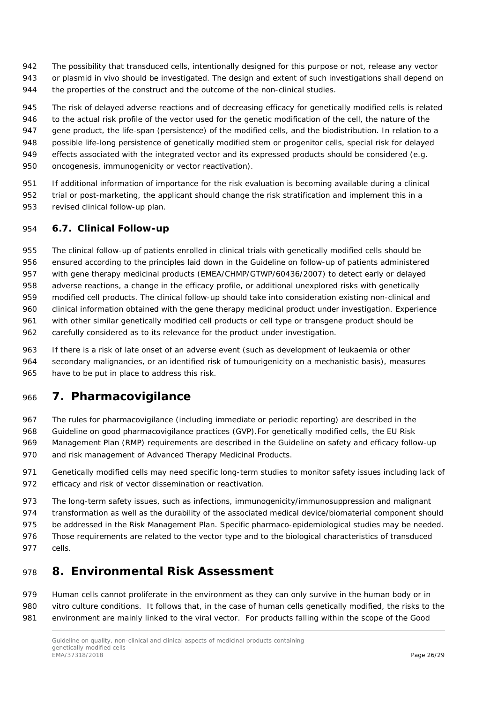- The possibility that transduced cells, intentionally designed for this purpose or not, release any vector
- or plasmid *in vivo* should be investigated. The design and extent of such investigations shall depend on
- the properties of the construct and the outcome of the non-clinical studies.
- The risk of delayed adverse reactions and of decreasing efficacy for genetically modified cells is related 946 to the actual risk profile of the vector used for the genetic modification of the cell, the nature of the gene product, the life-span (persistence) of the modified cells, and the biodistribution. In relation to a
- possible life-long persistence of genetically modified stem or progenitor cells, special risk for delayed
- 949 effects associated with the integrated vector and its expressed products should be considered (e.g.
- oncogenesis, immunogenicity or vector reactivation).
- If additional information of importance for the risk evaluation is becoming available during a clinical trial or post-marketing, the applicant should change the risk stratification and implement this in a revised clinical follow-up plan.

### <span id="page-25-0"></span>*6.7. Clinical Follow-up*

- The clinical follow-up of patients enrolled in clinical trials with genetically modified cells should be ensured according to the principles laid down in the Guideline on follow-up of patients administered with gene therapy medicinal products (EMEA/CHMP/GTWP/60436/2007) to detect early or delayed adverse reactions, a change in the efficacy profile, or additional unexplored risks with genetically 959 modified cell products. The clinical follow-up should take into consideration existing non-clinical and clinical information obtained with the gene therapy medicinal product under investigation. Experience with other similar genetically modified cell products or cell type or transgene product should be carefully considered as to its relevance for the product under investigation.
- If there is a risk of late onset of an adverse event (such as development of leukaemia or other secondary malignancies, or an identified risk of tumourigenicity on a mechanistic basis), measures
- have to be put in place to address this risk.

### <span id="page-25-1"></span>**7. Pharmacovigilance**

- The rules for pharmacovigilance (including immediate or periodic reporting) are described in the 968 Guideline on good pharmacovigilance practices (GVP). For genetically modified cells, the EU Risk Management Plan (RMP) requirements are described in the Guideline on safety and efficacy follow-up 970 and risk management of Advanced Therapy Medicinal Products.
- Genetically modified cells may need specific long-term studies to monitor safety issues including lack of efficacy and risk of vector dissemination or reactivation.
- 973 The long-term safety issues, such as infections, immunogenicity/immunosuppression and malignant
- 974 transformation as well as the durability of the associated medical device/biomaterial component should
- 975 be addressed in the Risk Management Plan. Specific pharmaco-epidemiological studies may be needed.
- Those requirements are related to the vector type and to the biological characteristics of transduced
- cells.

### <span id="page-25-2"></span>**8. Environmental Risk Assessment**

 Human cells cannot proliferate in the environment as they can only survive in the human body or in vitro culture conditions. It follows that, in the case of human cells genetically modified, the risks to the environment are mainly linked to the viral vector. For products falling within the scope of the Good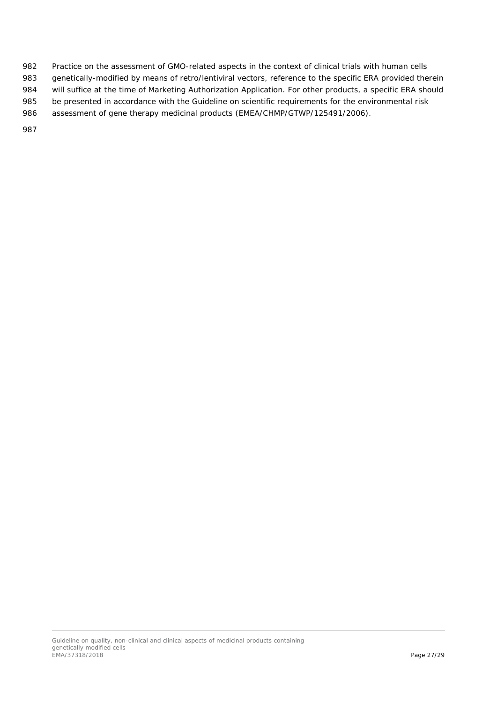- 982 Practice on the assessment of GMO-related aspects in the context of clinical trials with human cells
- 983 genetically-modified by means of retro/lentiviral vectors, reference to the specific ERA provided therein
- 984 will suffice at the time of Marketing Authorization Application. For other products, a specific ERA should
- 985 be presented in accordance with the Guideline on scientific requirements for the environmental risk
- 986 assessment of gene therapy medicinal products (EMEA/CHMP/GTWP/125491/2006).

987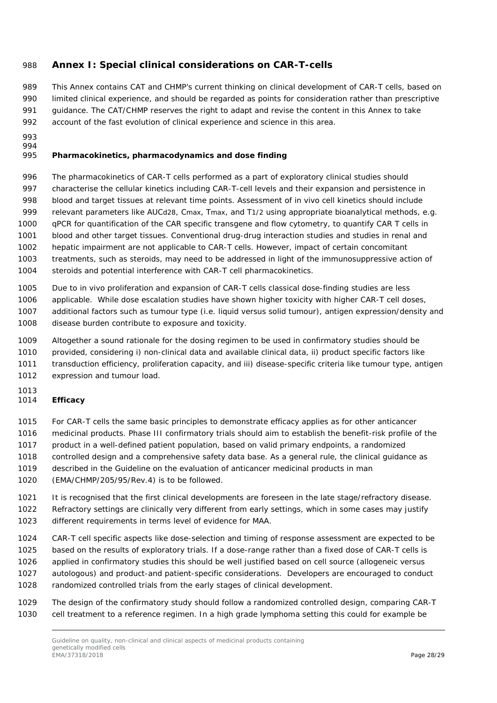### <span id="page-27-0"></span>*Annex I: Special clinical considerations on CAR-T-cells*

989 This Annex contains CAT and CHMP's current thinking on clinical development of CAR-T cells, based on limited clinical experience, and should be regarded as points for consideration rather than prescriptive 991 guidance. The CAT/CHMP reserves the right to adapt and revise the content in this Annex to take account of the fast evolution of clinical experience and science in this area.

#### 994<br>995 **Pharmacokinetics, pharmacodynamics and dose finding**

 The pharmacokinetics of CAR-T cells performed as a part of exploratory clinical studies should characterise the cellular kinetics including CAR-T-cell levels and their expansion and persistence in blood and target tissues at relevant time points. Assessment of *in vivo* cell kinetics should include 999 relevant parameters like AUCd28, Cmax, Tmax, and T1/2 using appropriate bioanalytical methods, e.g. qPCR for quantification of the CAR specific transgene and flow cytometry, to quantify CAR T cells in blood and other target tissues. Conventional drug-drug interaction studies and studies in renal and hepatic impairment are not applicable to CAR-T cells. However, impact of certain concomitant treatments, such as steroids, may need to be addressed in light of the immunosuppressive action of steroids and potential interference with CAR-T cell pharmacokinetics.

 Due to *in vivo* proliferation and expansion of CAR-T cells classical dose-finding studies are less applicable. While dose escalation studies have shown higher toxicity with higher CAR-T cell doses, additional factors such as tumour type (i.e. liquid versus solid tumour), antigen expression/density and disease burden contribute to exposure and toxicity.

- Altogether a sound rationale for the dosing regimen to be used in confirmatory studies should be
- provided, considering i) non-clinical data and available clinical data, ii) product specific factors like
- transduction efficiency, proliferation capacity, and iii) disease-specific criteria like tumour type, antigen
- expression and tumour load.
- 

#### **Efficacy**

- For CAR-T cells the same basic principles to demonstrate efficacy applies as for other anticancer
- medicinal products. Phase III confirmatory trials should aim to establish the benefit-risk profile of the
- product in a well-defined patient population, based on valid primary endpoints, a randomized
- controlled design and a comprehensive safety data base. As a general rule, the clinical guidance as
- described in the Guideline on the evaluation of anticancer medicinal products in man
- (EMA/CHMP/205/95/Rev.4) is to be followed.
- 1021 It is recognised that the first clinical developments are foreseen in the late stage/refractory disease. Refractory settings are clinically very different from early settings, which in some cases may justify different requirements in terms level of evidence for MAA.
- CAR-T cell specific aspects like dose-selection and timing of response assessment are expected to be based on the results of exploratory trials. If a dose-range rather than a fixed dose of CAR-T cells is applied in confirmatory studies this should be well justified based on cell source (allogeneic versus autologous) and product-and patient-specific considerations. Developers are encouraged to conduct randomized controlled trials from the early stages of clinical development.
- The design of the confirmatory study should follow a randomized controlled design, comparing CAR-T cell treatment to a reference regimen. In a high grade lymphoma setting this could for example be